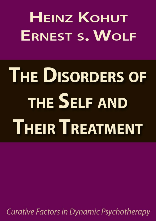**HEINZ KOHUT ERNEST S. WOLF** 

# **THE DISORDERS OF** THE SELF AND **THEIR TREATMENT**

Curative Factors in Dynamic Psychotherapy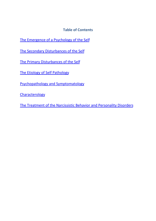**Table of [Contents](#page-29-0)**

- The Emergence of a Psychology of the Self
- The Secondary Disturbances of the Self
- The Primary Disturbances of the Self
- The Etiology of Self Pathology
- Psychopathology and Symptomatology

**Characterology** 

The Treatment of the Narcissistic Behavior and Personality Disorders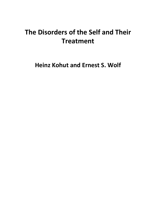# **The Disorders of the Self and Their Treatment**

**Heinz Kohut and Ernest S. Wolf**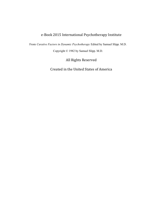#### e-Book 2015 International Psychotherapy Institute

From *Curative Factors in Dynamic Psychotherapy* Edited by Samuel Slipp. M.D.

Copyright © 1982 by Samuel Slipp. M.D.

All Rights Reserved

Created in the United States of America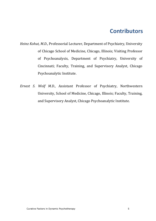## **Contributors**

- *Heinz Kohut, M.D.*, Professorial Lecturer, Department of Psychiatry, University of Chicago School of Medicine, Chicago, Illinois; Visiting Professor of Psychoanalysis, Department of Psychiatry, University of Cincinnati; Faculty, Training, and Supervisory Analyst, Chicago Psychoanalytic Institute.
- *Ernest S. Wolf M.D.*, Assistant Professor of Psychiatry, Northwestern University, School of Medicine, Chicago, Illinois; Faculty, Training, and Supervisory Analyst, Chicago Psychoanalytic Institute.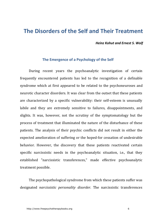### **The Disorders of the Self and Their Treatment**

*Heinz Kohut and Ernest S. Wolf*

#### The Emergence of a Psychology of the Self

During recent years the psychoanalytic investigation of certain frequently encountered patients has led to the recognition of a definable syndrome which at first appeared to be related to the psychoneuroses and neurotic character disorders. It was clear from the outset that these patients are characterized by a specific vulnerability: their self-esteem is unusually labile and they are extremely sensitive to failures, disappointments, and slights. It was, however, not the scrutiny of the symptomatology but the process of treatment that illuminated the nature of the disturbance of these patients. The analysis of their psychic conflicts did not result in either the expected amelioration of suffering or the hoped-for cessation of undesirable behavior. However, the discovery that these patients reactivated certain specific narcissistic needs in the psychoanalytic situation, i.e., that they established "narcissistic transferences," made effective psychoanalytic treatment possible.

The psychopathological syndrome from which these patients suffer was designated *narcissistic personality disorder*. The narcissistic transferences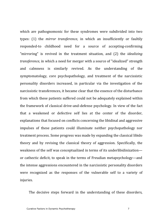which are pathognomonic for these syndromes were subdivided into two types: (1) the *mirror transference*, in which an insufficiently or faultily responded-to childhood need for a source of accepting-confirming "mirroring" is revived in the treatment situation, and (2) the *idealizing transference*, in which a need for merger with a source of "idealized" strength and calmness is similarly revived. As the understanding of the symptomatology, core psychopathology, and treatment of the narcissistic personality disorders increased, in particular via the investigation of the narcissistic transferences, it became clear that the essence of the disturbance from which these patients suffered could not be adequately explained within the framework of classical drive-and-defense psychology. In view of the fact that a weakened or defective self lies at the center of the disorder, explanations that focused on conflicts concerning the libidinal and aggressive impulses of these patients could illuminate neither psychopathology nor treatment process. Some progress was made by expanding the classical libido theory and by revising the classical theory of aggression. Specifically, the weakness of the self was conceptualized in terms of its underlibidinization or cathectic deficit, to speak in the terms of Freudian metapsychology—and the intense aggressions encountered in the narcissistic personality disorders were recognized as the responses of the vulnerable self to a variety of injuries.

The decisive steps forward in the understanding of these disorders,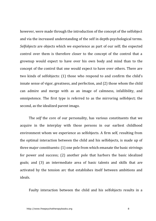however, were made through the introduction of the concept of the selfobject and via the increased understanding of the self in depth-psychological terms. *Selfobjects* are objects which we experience as part of our self; the expected control over them is therefore closer to the concept of the control that a grownup would expect to have over his own body and mind than to the concept of the control that one would expect to have over others. There are two kinds of selfobjects: (1) those who respond to and confirm the child's innate sense of vigor, greatness, and perfection, and  $(2)$  those whom the child can admire and merge with as an image of calmness, infallibility, and omnipotence. The first type is referred to as the mirroring selfobject; the second, as the idealized parent imago.

The *self* the core of our personality, has various constituents that we acquire in the interplay with those persons in our earliest childhood environment whom we experience as selfobjects. A firm self, resulting from the optimal interaction between the child and his selfobjects, is made up of three major constituents:  $(1)$  one pole from which emanate the basic strivings for power and success; (2) another pole that harbors the basic idealized goals; and (3) an intermediate area of basic talents and skills that are activated by the tension arc that establishes itself between ambitions and ideals.

Faulty interaction between the child and his selfobiects results in a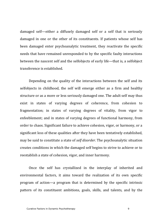damaged self—either a diffusely damaged self or a self that is seriously damaged in one or the other of its constituents. If patients whose self has been damaged enter psychoanalytic treatment, they reactivate the specific needs that have remained unresponded to by the specific faulty interactions between the nascent self and the selfobjects of early life—that is, a selfobject transference is established

Depending on the quality of the interactions between the self and its selfobjects in childhood, the self will emerge either as a firm and healthy structure or as a more or less seriously damaged one. The adult self may thus exist in states of varying degrees of coherence, from cohesion to fragmentation; in states of varying degrees of vitality, from vigor to enfeeblement; and in states of varying degrees of functional harmony, from order to chaos. Significant failure to achieve cohesion, vigor, or harmony, or a significant loss of these qualities after they have been tentatively established, may be said to constitute a state of *self disorder*. The psychoanalytic situation creates conditions in which the damaged self begins to strive to achieve or to reestablish a state of cohesion, vigor, and inner harmony.

Once the self has crystallized in the interplay of inherited and environmental factors, it aims toward the realization of its own specific program of action—a program that is determined by the specific intrinsic pattern of its constituent ambitions, goals, skills, and talents, and by the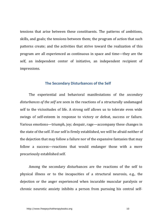tensions that arise between these constituents. The patterns of ambitions, skills, and goals; the tensions between them; the program of action that such patterns create; and the activities that strive toward the realization of this program are all experienced as continuous in space and time—they are the self, an independent center of initiative, an independent recipient of impressions.

#### **The Secondary Disturbances of the Self**

The experiential and behavioral manifestations of the *secondary disturbances of the self* are seen in the reactions of a structurally undamaged self to the vicissitudes of life. A strong self allows us to tolerate even wide swings of self-esteem in response to victory or defeat, success or failure. Various emotions—triumph, joy; despair, rage—accompany these changes in the state of the self. If our self is firmly established, we will be afraid neither of the dejection that may follow a failure nor of the expansive fantasies that may follow a success—reactions that would endanger those with a more precariously established self.

Among the secondary disturbances are the reactions of the self to physical illness or to the incapacities of a structural neurosis, e.g., the dejection or the anger experienced when incurable muscular paralysis or chronic neurotic anxiety inhibits a person from pursuing his central self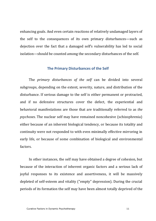enhancing goals. And even certain reactions of relatively undamaged layers of the self to the consequences of its own primary disturbances—such as dejection over the fact that a damaged self's vulnerability has led to social isolation—should be counted among the secondary disturbances of the self.

#### **The Primary Disturbances of the Self**

The *primary disturbances of the self* can be divided into several subgroups, depending on the extent, severity, nature, and distribution of the disturbance. If serious damage to the self is either permanent or protracted, and if no defensive structures cover the defect, the experiential and behavioral manifestations are those that are traditionally referred to as *the psychoses*. The nuclear self may have remained noncohesive (schizophrenia) either because of an inherent biological tendency, or because its totality and continuity were not responded to with even minimally effective mirroring in early life, or because of some combination of biological and environmental factors.

In other instances, the self may have obtained a degree of cohesion, but because of the interaction of inherent organic factors and a serious lack of joyful responses to its existence and assertiveness, it will be massively depleted of self-esteem and vitality ("empty" depression). During the crucial periods of its formation the self may have been almost totally deprived of the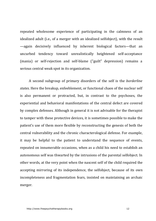repeated wholesome experience of participating in the calmness of an idealized adult (i.e., of a merger with an idealized selfobject), with the result —again decisively influenced by inherent biological factors—that an uncurbed tendency toward unrealistically heightened self-acceptance (mania) or self-rejection and self-blame ("guilt" depression) remains a serious central weak spot in its organization.

A second subgroup of primary disorders of the self is the *borderline states*. Here the breakup, enfeeblement, or functional chaos of the nuclear self is also permanent or protracted, but, in contrast to the psychoses, the experiential and behavioral manifestations of the central defect are covered by complex defenses. Although in general it is not advisable for the therapist to tamper with these protective devices, it is sometimes possible to make the patient's use of them more flexible by reconstructing the genesis of both the central vulnerability and the chronic characterological defense. For example, it may be helpful to the patient to understand the sequence of events, repeated on innumerable occasions, when as a child his need to establish an autonomous self was thwarted by the intrusions of the parental selfobject. In other words, at the very point when the nascent self of the child required the accepting mirroring of its independence, the selfobject, because of its own incompleteness and fragmentation fears, insisted on maintaining an archaic merger.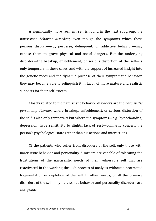A significantly more resilient self is found in the next subgroup, the *narcissistic behavior disorders*, even though the symptoms which these persons display—e.g., perverse, delinquent, or addictive behavior—may expose them to grave physical and social dangers. But the underlying disorder—the breakup, enfeeblement, or serious distortion of the self—is only temporary in these cases, and with the support of increased insight into the genetic roots and the dynamic purpose of their symptomatic behavior, they may become able to relinquish it in favor of more mature and realistic supports for their self-esteem.

Closely related to the narcissistic behavior disorders are the *narcissistic personality disorder*, where breakup, enfeeblement, or serious distortion of the self is also only temporary but where the symptoms—e.g., hypochondria, depression, hypersensitivity to slights, lack of zest—primarily concern the person's psychological state rather than his actions and interactions.

Of the patients who suffer from disorders of the self, only those with narcissistic behavior and personality disorders are capable of tolerating the frustrations of the narcissistic needs of their vulnerable self that are reactivated in the working through process of analysis without a protracted fragmentation or depletion of the self. In other words, of all the primary disorders of the self, only narcissistic behavior and personality disorders are analyzable.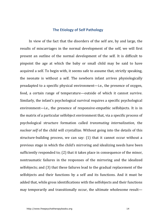#### **The Etiology of Self Pathology**

In view of the fact that the disorders of the self are, by and large, the results of miscarriages in the normal development of the self, we will first present an outline of the normal development of the self. It is difficult to pinpoint the age at which the baby or small child may be said to have acquired a self. To begin with, it seems safe to assume that, strictly speaking, the neonate is without a self. The newborn infant arrives physiologically preadapted to a specific physical environment—i.e., the presence of oxygen, food, a certain range of temperature—outside of which it cannot survive. Similarly, the infant's psychological survival requires a specific psychological environment—i.e., the presence of responsive-empathic selfobjects. It is in the matrix of a particular selfobject environment that, via a specific process of psychological structure formation called *transmuting internalization*, the *nuclear self* of the child will crystallize. Without going into the details of this structure-building process, we can say:  $(1)$  that it cannot occur without a previous stage in which the child's mirroring and idealizing needs have been sufficiently responded to;  $(2)$  that it takes place in consequence of the minor, nontraumatic failures in the responses of the mirroring and the idealized selfobjects; and (3) that these failures lead to the gradual replacement of the selfobjects and their functions by a self and its functions. And it must be added that, while gross identifications with the selfobjects and their functions may temporarily and transitionally occur, the ultimate wholesome result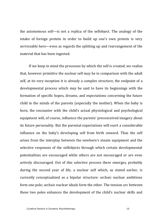the autonomous  $\text{self}$ —is not a replica of the selfobject. The analogy of the intake of foreign protein in order to build up one's own protein is very serviceable here—even as regards the splitting up and rearrangement of the material that has been ingested.

If we keep in mind the processes by which the self is created, we realize that, however primitive the nuclear self may be in comparison with the adult self, at its very inception it is already a complex structure, the endpoint of a developmental process which may be said to have its beginnings with the formation of specific hopes, dreams, and expectations concerning the future child in the minds of the parents (especially the mother). When the baby is born, the encounter with the child's actual physiological and psychological equipment will, of course, influence the parents' preconceived imagery about its future personality. But the parental expectations will exert a considerable influence on the baby's developing self from birth onward. Thus the self arises from the interplay between the newborn's innate equipment and the selective responses of the selfobjects through which certain developmental potentialities are encouraged while others are not encouraged or are even actively discouraged. Out of this selective process there emerges, probably during the second year of life, a nuclear self which, as stated earlier, is currently conceptualized as a bipolar structure: archaic nuclear ambitions form one pole; archaic nuclear ideals form the other. The tension arc between these two poles enhances the development of the child's nuclear skills and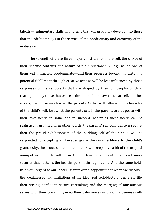talents—rudimentary skills and talents that will gradually develop into those that the adult employs in the service of the productivity and creativity of the mature self

The strength of these three major constituents of the self, the choice of their specific contents, the nature of their relationship—e.g., which one of them will ultimately predominate—and their progress toward maturity and potential fulfillment through creative actions will be less influenced by those responses of the selfobjects that are shaped by their philosophy of child rearing than by those that express the state of their own nuclear self. In other words, it is not so much what the parents *do* that will influence the character of the child's self, but what the parents *are*. If the parents are at peace with their own needs to shine and to succeed insofar as these needs can be realistically gratified, if, in other words, the parents' self-confidence is secure, then the proud exhibitionism of the budding self of their child will be responded to acceptingly. However grave the real-life blows to the child's grandiosity, the proud smile of the parents will keep alive a bit of the original omnipotence, which will form the nucleus of self-confidence and inner security that sustains the healthy person throughout life. And the same holds true with regard to our ideals. Despite our disappointment when we discover the weaknesses and limitations of the idealized selfobjects of our early life, their strong, confident, secure caretaking and the merging of our anxious selves with their tranquility—via their calm voices or via our closeness with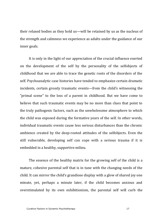their relaxed bodies as they hold us—will be retained by us as the nucleus of the strength and calmness we experience as adults under the guidance of our inner goals.

It is only in the light of our appreciation of the crucial influence exerted on the development of the self by the personality of the selfobjects of childhood that we are able to trace the genetic roots of the disorders of the self. Psychoanalytic case histories have tended to emphasize certain dramatic incidents, certain grossly traumatic events—from the child's witnessing the "primal scene" to the loss of a parent in childhood. But we have come to believe that such traumatic events may be no more than clues that point to the truly pathogenic factors, such as the unwholesome atmosphere to which the child was exposed during the formative years of the self. In other words, individual traumatic events cause less serious disturbances than the chronic ambience created by the deep-rooted attitudes of the selfobjects. Even the still vulnerable, developing self can cope with a serious trauma if it is embedded in a healthy, supportive milieu.

The essence of the healthy matrix for the growing self of the child is a mature, cohesive parental self that is in tune with the changing needs of the child. It can mirror the child's grandiose display with a glow of shared joy one minute, yet, perhaps a minute later, if the child becomes anxious and overstimulated by its own exhibitionism, the parental self will curb the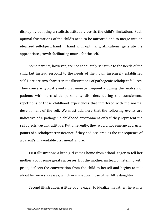display by adopting a realistic attitude vis-à-vis the child's limitations. Such optimal frustrations of the child's need to be mirrored and to merge into an idealized selfobject, hand in hand with optimal gratifications, generate the appropriate growth-facilitating matrix for the self.

Some parents, however, are not adequately sensitive to the needs of the child but instead respond to the needs of their own insecurely established self. Here are two characteristic illustrations of pathogenic selfobject failures. They concern typical events that emerge frequently during the analysis of patients with narcissistic personality disorders during the transference repetitions of those childhood experiences that interfered with the normal development of the self. We must add here that the following events are indicative of a pathogenic childhood environment only if they represent the selfobjects' *chronic* attitude. Put differently, they would not emerge at crucial points of a selfobject transference if they had occurred as the consequence of a parent's unavoidable *occasional* failure.

First illustration: A little girl comes home from school, eager to tell her mother about some great successes. But the mother, instead of listening with pride, deflects the conversation from the child to herself and begins to talk about her own successes, which overshadow those of her little daughter.

Second illustration: A little boy is eager to idealize his father; he wants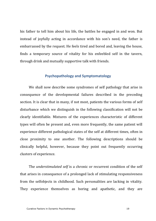his father to tell him about his life, the battles he engaged in and won. But instead of joyfully acting in accordance with his son's need, the father is embarrassed by the request. He feels tired and bored and, leaving the house, finds a temporary source of vitality for his enfeebled self in the tavern, through drink and mutually supportive talk with friends.

#### **Psychopathology and Symptomatology**

We shall now describe some syndromes of self pathology that arise in consequence of the developmental failures described in the preceding section. It is clear that in many, if not most, patients the various forms of self disturbance which we distinguish in the following classification will not be clearly identifiable. Mixtures of the experiences characteristic of different types will often be present and, even more frequently, the same patient will experience different pathological states of the self at different times, often in close proximity to one another. The following descriptions should be clinically helpful, however, because they point out frequently occurring clusters of experience.

The *understimulated self* is a chronic or recurrent condition of the self that arises in consequence of a prolonged lack of stimulating responsiveness from the selfobiects in childhood. Such personalities are lacking in vitality. They experience themselves as boring and apathetic, and they are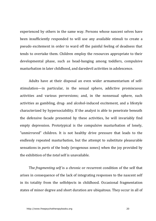experienced by others in the same way. Persons whose nascent selves have been insufficiently responded to will use any available stimuli to create a pseudo excitement in order to ward off the painful feeling of deadness that tends to overtake them. Children employ the resources appropriate to their developmental phase, such as head-banging among toddlers, compulsive masturbation in later childhood, and daredevil activities in adolescence.

Adults have at their disposal an even wider armamentarium of selfstimulation—in particular, in the sexual sphere, addictive promiscuous activities and various perversions; and, in the nonsexual sphere, such activities as gambling, drug- and alcohol-induced excitement, and a lifestyle characterized by hypersociability. If the analyst is able to penetrate beneath the defensive facade presented by these activities, he will invariably find empty depression. Prototypical is the compulsive masturbation of lonely, "unmirrored" children. It is not healthy drive pressure that leads to the endlessly repeated masturbation, but the attempt to substitute pleasurable sensations in *parts* of the body (erogenous zones) when the joy provided by the exhibition of the *total* self is unavailable.

The *fragmenting self* is a chronic or recurrent condition of the self that arises in consequence of the lack of integrating responses to the nascent self in its totality from the selfobjects in childhood. Occasional fragmentation states of minor degree and short duration are ubiquitous. They occur in all of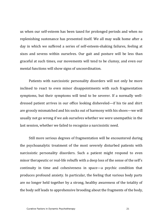us when our self-esteem has been taxed for prolonged periods and when no replenishing sustenance has presented itself. We all may walk home after a day in which we suffered a series of self-esteem-shaking failures, feeling at sixes and sevens within ourselves. Our gait and posture will be less than graceful at such times, our movements will tend to be clumsy, and even our mental functions will show signs of uncoordination.

Patients with narcissistic personality disorders will not only be more inclined to react to even minor disappointments with such fragmentation symptoms, but their symptoms will tend to be severer. If a normally welldressed patient arrives in our office looking disheveled—if his tie and shirt are grossly mismatched and his socks out of harmony with his shoes—we will usually not go wrong if we ask ourselves whether we were unempathic in the last session, whether we failed to recognize a narcissistic need.

Still more serious degrees of fragmentation will be encountered during the psychoanalytic treatment of the most severely disturbed patients with narcissistic personality disorders. Such a patient might respond to even minor therapeutic or real-life rebuffs with a deep loss of the sense of the self's continuity in time and cohesiveness in space—a psychic condition that produces profound anxiety. In particular, the feeling that various body parts are no longer held together by a strong, healthy awareness of the totality of the body self leads to apprehensive brooding about the fragments of the body,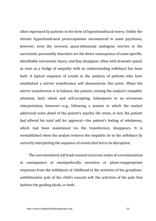often expressed by patients in the form of hypochondriacal worry. Unlike the chronic hypochondriacal preoccupations encountered in some psychoses, however, even the severest, quasi-delusional analogous worries in the narcissistic personality disorders are the direct consequence of some specific, identifiable narcissistic injury, and they disappear, often with dramatic speed, as soon as a bridge of empathy with an understanding selfobject has been built. A typical sequence of events in the analysis of patients who have established a mirror transference will demonstrate this point. When the mirror transference is in balance, the patient, sensing the analyst's empathic attention, feels whole and self-accepting. Subsequent to an erroneous interpretation, however—e.g., following a session in which the analyst addressed some *detail* of the patient's psychic life when, in fact, the patient had offered his *total* self for approval—the patient's feeling of wholeness, which had been maintained via the transference, disappears. It is reestablished when the analyst restores the empathic tie to the selfobject by correctly interpreting the sequence of events that led to its disruption.

The *overstimulated self* tends toward recurrent states of overstimulation in consequence of unempathically excessive or phase-inappropriate responses from the selfobjects of childhood to the activities of the grandioseexhibitionistic pole of the child's nascent self, the activities of the pole that harbors the guiding ideals, or both.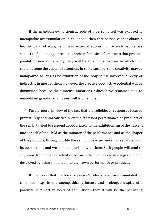If the grandiose-exhibitionistic pole of a person's self was exposed to unempathic overstimulation in childhood, then that person cannot obtain a healthy glow of enjoyment from external success. Since such people are subject to flooding by unrealistic, archaic fantasies of greatness that produce painful tension and anxiety, they will try to avoid situations in which they could become the center of attention. In some such persons creativity may be unimpaired so long as no exhibition of the *body* self is involved, directly or indirectly. In most of them, however, the creative-productive potential will be diminished because their intense ambitions, which have remained tied to unmodified grandiose fantasies, will frighten them.

Furthermore, in view of the fact that the selfobjects' responses focused prematurely and unrealistically on the fantasied performance or products of the self but failed to respond appropriately to the exhibitionism of the nascent nuclear self of the child as the initiator of the performance and as the shaper of the products, throughout life the self will be experienced as separate from its own actions and weak in comparison with them. Such people will tend to shy away from creative activities because their selves are in danger of being destroyed by being siphoned into their own performance or products.

If the pole that harbors a person's ideals was overstimulated in childhood—e.g., by the unempathically intense and prolonged display of a parental selfobject in need of admiration—then it will be the persisting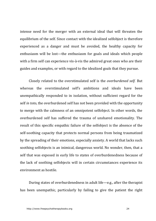intense need for the merger with an external ideal that will threaten the equilibrium of the self. Since contact with the idealized selfobject is therefore experienced as a danger and must be avoided, the healthy capacity for enthusiasm will be lost—the enthusiasm for goals and ideals which people with a firm self can experience vis-à-vis the admired great ones who are their guides and examples, or with regard to the idealized goals that they pursue.

Closely related to the overstimulated self is the *overburdened self*. But whereas the overstimulated self's ambitions and ideals have been unempathically responded to in isolation, without sufficient regard for the self *in* toto, the overburdened self has not been provided with the opportunity to merge with the calmness of an omnipotent selfobject. In other words, the overburdened self has suffered the trauma of unshared emotionality. The result of this specific empathic failure of the selfobject is the absence of the self-soothing capacity that protects normal persons from being traumatized by the spreading of their emotions, especially anxiety. A world that lacks such soothing selfobjects is an inimical, dangerous world. No wonder, then, that a self that was exposed in early life to states of overburdenedness because of the lack of soothing selfobjects will in certain circumstances experience its environment as hostile

During states of overburdenedness in adult life—e.g., after the therapist has been unempathic, particularly by failing to give the patient the right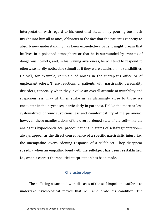interpretation with regard to his emotional state, or by pouring too much insight into him all at once, oblivious to the fact that the patient's capacity to absorb new understanding has been exceeded—a patient might dream that he lives in a poisoned atmosphere or that he is surrounded by swarms of dangerous hornets; and, in his waking awareness, he will tend to respond to otherwise hardly noticeable stimuli as if they were attacks on his sensibilities. He will, for example, complain of noises in the therapist's office or of unpleasant odors. These reactions of patients with narcissistic personality disorders, especially when they involve an overall attitude of irritability and suspiciousness, may at times strike us as alarmingly close to those we encounter in the psychoses, particularly in paranoia. Unlike the more or less systematized, chronic suspiciousness and counterhostility of the paranoiac, however, these manifestations of the overburdened state of the self—like the analogous hypochondriacal preoccupations in states of self-fragmentation always appear as the direct consequence of a specific narcissistic injury, i.e., the unempathic, overburdening response of a selfobject. They disappear speedily when an empathic bond with the selfobject has been reestablished, i.e., when a correct therapeutic interpretation has been made.

#### **Characterology**

The suffering associated with diseases of the self impels the sufferer to undertake psychological moves that will ameliorate his condition. The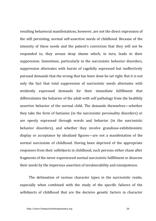resulting behavioral manifestations, however, are not the direct expression of the still persisting, normal self-assertive needs of childhood. Because of the intensity of these needs and the patient's conviction that they will not be responded to, they arouse deep shame which, in turn, leads to their suppression. Sometimes, particularly in the narcissistic behavior disorders, suppression alternates with bursts of ragefully expressed but ineffectively pursued demands that the wrong that has been done be set right. But it is not only the fact that total suppression of narcissistic needs alternates with stridently expressed demands for their immediate fulfillment that differentiates the behavior of the adult with self pathology from the healthily assertive behavior of the normal child. The demands themselves—whether they take the form of fantasies (in the narcissistic personality disorders) or are openly expressed through words and behavior (in the narcissistic behavior disorders), and whether they involve grandiose-exhibitionistic display or acceptance by idealized figures—are not a manifestation of the normal narcissism of childhood. Having been deprived of the appropriate responses from their selfobjects in childhood, such persons either chase after fragments of the never experienced normal narcissistic fulfillment or disavow their needs by the imperious assertion of invulnerability and omnipotence.

The delineation of various character types in the narcissistic realm, especially when combined with the study of the specific failures of the selfobjects of childhood that are the decisive genetic factors in character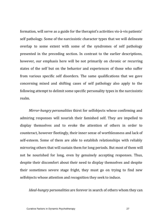formation, will serve as a guide for the therapist's activities vis-à-vis patients' self pathology. Some of the narcissistic character types that we will delineate overlap to some extent with some of the syndromes of self pathology presented in the preceding section. In contrast to the earlier descriptions, however, our emphasis here will be not primarily on chronic or recurring states of the self but on the behavior and experiences of those who suffer from various specific self disorders. The same qualifications that we gave concerning mixed and shifting cases of self pathology also apply to the following attempt to delimit some specific personality types in the narcissistic realm.

*Mirror-hungry personalities* thirst for selfobjects whose confirming and admiring responses will nourish their famished self. They are impelled to display themselves and to evoke the attention of others in order to counteract, however fleetingly, their inner sense of worthlessness and lack of self-esteem. Some of them are able to establish relationships with reliably mirroring others that will sustain them for long periods. But most of them will not be nourished for long, even by genuinely accepting responses. Thus, despite their discomfort about their need to display themselves and despite their sometimes severe stage fright, they must go on trying to find new selfobjects whose attention and recognition they seek to induce.

*Ideal-hungry personalities* are forever in search of others whom they can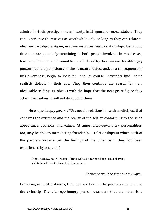admire for their prestige, power, beauty, intelligence, or moral stature. They can experience themselves as worthwhile only so long as they can relate to idealized selfobjects. Again, in some instances, such relationships last a long time and are genuinely sustaining to both people involved. In most cases, however, the inner void cannot forever be filled by these means. Ideal-hungry persons feel the persistence of the structural defect and, as a consequence of this awareness, begin to look for—and, of course, inevitably find—some realistic defects in their god. They then continue the search for new idealizable selfobjects, always with the hope that the next great figure they attach themselves to will not disappoint them.

*Alter-ego-hungry personalities* need a relationship with a selfobject that confirms the existence and the reality of the self by conforming to the self's appearance, opinions, and values. At times, alter-ego-hungry personalities, too, may be able to form lasting friendships—relationships in which each of the partners experiences the feelings of the other as if they had been experienced by one's self.

If thou sorrow, he will weep; If thou wake, he cannot sleep. Thus of every grief in heart He with thee doth bear a part.

#### Shakespeare, *The Passionate Pilgrim*

But again, in most instances, the inner void cannot be permanently filled by the twinship. The alter-ego-hungry person discovers that the other is a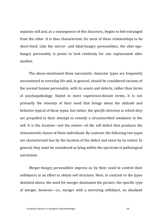separate self and, as a consequence of this discovery, begins to feel estranged from the other. It is thus characteristic for most of these relationships to be short-lived. Like the mirror- and ideal-hungry personalities, the alter-egohungry personality is prone to look restlessly for one replacement after another.

The above-mentioned three narcissistic character types are frequently encountered in everyday life and, in general, should be considered variants of the normal human personality, with its assets and defects, rather than forms of psychopathology. Stated in more experience-distant terms, it is not primarily the *intensity* of their need that brings about the attitude and behavior typical of these types, but rather, the *specific direction* in which they are propelled in their attempt to remedy a circumscribed weakness in the self. It is the location—not the extent—of the self defect that produces the characteristic stance of these individuals. By contrast, the following two types are characterized less by the location of the defect and more by its extent. In general, they must be considered as lying within the spectrum of pathological narcissism.

*Merger-hungry personalities* impress us by their need to control their selfobjects in an effort to obtain self structure. Here, in contrast to the types sketched above, the need for merger dominates the picture; the specific type of merger, however—i.e., merger with a mirroring selfobject, an idealized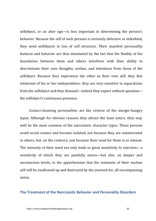selfobject, or an alter ego—is less important in determining the person's behavior. Because the self of such persons is seriously defective or enfeebled, they need selfobjects in lieu of self structure. Their manifest personality features and behavior are thus dominated by the fact that the fluidity of the boundaries between them and others interferes with their ability to discriminate their own thoughts, wishes, and intentions from those of the selfobject. Because they experience the other as their own self, they feel intolerant of his or her independence: they are very sensitive to separations from the selfobject and they demand—indeed they expect without question the selfobject's continuous presence.

*Contact-shunning personalities* are the reverse of the merger-hungry types. Although for obvious reasons they attract the least notice, they may well be the most common of the narcissistic character types. These persons avoid social contact and become isolated, not because they are uninterested in others, but, on the contrary, just because their need for them is so intense. The intensity of their need not only leads to great sensitivity to rejection—a sensitivity of which they are painfully aware—but also, on deeper and unconscious levels, to the apprehension that the remnants of their nuclear self will be swallowed up and destroyed by the yearned-for, all-encompassing union.

#### <span id="page-29-0"></span>**The Treatment of the Narcissistic Behavior and Personality Disorders**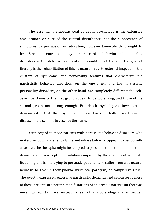The essential therapeutic goal of depth psychology is the extensive amelioration or cure of the central disturbance, not the suppression of symptoms by persuasion or education, however benevolently brought to bear. Since the central pathology in the narcissistic behavior and personality disorders is the defective or weakened condition of the self, the goal of therapy is the rehabilitation of this structure. True, to external inspection, the clusters of symptoms and personality features that characterize the narcissistic behavior disorders, on the one hand, and the narcissistic personality disorders, on the other hand, are completely different: the selfassertive claims of the first group appear to be too strong, and those of the second group not strong enough. But depth-psychological investigation demonstrates that the psychopathological basis of both disorders—the disease of the self—is in essence the same.

With regard to those patients with narcissistic behavior disorders who make overloud narcissistic claims and whose behavior appears to be too selfassertive, the therapist might be tempted to persuade them to relinquish their demands and to accept the limitations imposed by the realities of adult life. But doing this is like trying to persuade patients who suffer from a structural neurosis to give up their phobia, hysterical paralysis, or compulsive ritual. The overtly expressed, excessive narcissistic demands and self-assertiveness of these patients are not the manifestations of an archaic narcissism that was never tamed, but are instead a set of characterologically embedded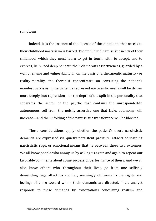symptoms.

Indeed, it is the essence of the disease of these patients that access to their childhood narcissism is barred. The unfulfilled narcissistic needs of their childhood, which they must learn to get in touch with, to accept, and to express, lie buried deep beneath their clamorous assertiveness, guarded by a wall of shame and vulnerability. If, on the basis of a therapeutic maturity- or reality-morality, the therapist concentrates on censuring the patient's manifest narcissism, the patient's repressed narcissistic needs will be driven more deeply into repression—or the depth of the split in the personality that separates the sector of the psyche that contains the unresponded-to autonomous self from the noisily assertive one that lacks autonomy will increase—and the unfolding of the narcissistic transference will be blocked.

These considerations apply whether the patient's overt narcissistic demands are expressed via quietly persistent pressure, attacks of scathing narcissistic rage, or emotional means that lie between these two extremes. We all know people who annoy us by asking us again and again to repeat our favorable comments about some successful performance of theirs. And we all also know others who, throughout their lives, go from one selfishly demanding rage attack to another, seemingly oblivious to the rights and feelings of those toward whom their demands are directed. If the analyst responds to these demands by exhortations concerning realism and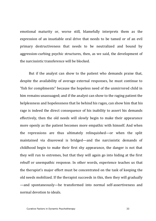emotional maturity or, worse still, blamefully interprets them as the expression of an insatiable oral drive that needs to be tamed or of an evil primary destructiveness that needs to be neutralized and bound by aggression-curbing psychic structures, then, as we said, the development of the narcissistic transference will be blocked

But if the analyst can show to the patient who demands praise that, despite the availability of average external responses, he must continue to "fish for compliments" because the hopeless need of the unmirrored child in him remains unassuaged; and if the analyst can show to the raging patient the helplessness and hopelessness that lie behind his rages, can show him that his rage is indeed the direct consequence of his inability to assert his demands effectively, then the old needs will slowly begin to make their appearance more openly as the patient becomes more empathic with himself. And when the repressions are thus ultimately relinquished—or when the split maintained via disavowal is bridged—and the narcissistic demands of  $childhood$  begin to make their first shy appearance, the danger is not that they will run to extremes, but that they will again go into hiding at the first rebuff or unempathic response. In other words, experience teaches us that the therapist's major effort must be concentrated on the task of keeping the old needs mobilized. If the therapist succeeds in this, then they will gradually —and spontaneously—be transformed into normal self-assertiveness and normal devotion to ideals.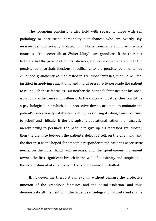The foregoing conclusions also hold with regard to those with self pathology or narcissistic personality disturbances who are overtly shy, unassertive, and socially isolated, but whose conscious and preconscious fantasies—"the secret life of Walter Mitty"—are grandiose. If the therapist believes that the patient's timidity, shyness, and social isolation are due to the persistence of archaic illusions, specifically, to the persistence of untamed childhood grandiosity as manifested in grandiose fantasies, then he will feel justified in applying educational and moral pressure to persuade the patient to relinquish these fantasies. But neither the patient's fantasies nor his social isolation are the cause of his illness. On the contrary, together they constitute a psychological unit which, as a protective device, attempts to maintain the patient's precariously established self by preventing its dangerous exposure to rebuff and ridicule. If the therapist is educational rather than analytic, merely trying to persuade the patient to give up his fantasied grandiosity, then the distance between the patient's defective self, on the one hand, and the therapist as the hoped-for empathic responder to the patient's narcissistic needs, on the other hand, will increase, and the spontaneous movement toward the first significant breach in the wall of sensitivity and suspicion the establishment of a narcissistic transference—will be halted.

If, however, the therapist can explain without censure the protective function of the grandiose fantasies and the social isolation, and thus demonstrate attunement with the patient's disintegration anxiety and shame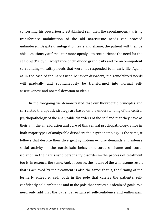concerning his precariously established self, then the spontaneously arising transference mobilization of the old narcissistic needs can proceed unhindered. Despite disintegration fears and shame, the patient will then be able—cautiously at first, later more openly—to reexperience the need for the self-object's joyful acceptance of childhood grandiosity and for an omnipotent surrounding—healthy needs that were not responded to in early life. Again, as in the case of the narcissistic behavior disorders, the remobilized needs will gradually and spontaneously be transformed into normal selfassertiveness and normal devotion to ideals.

In the foregoing we demonstrated that our therapeutic principles and correlated therapeutic strategy are based on the understanding of the central psychopathology of the analyzable disorders of the self and that they have as their aim the amelioration and cure of this central psychopathology. Since in both major types of analyzable disorders the psychopathology is the same, it follows that despite their divergent symptoms—noisy demands and intense social activity in the narcissistic behavior disorders, shame and social isolation in the narcissistic personality disorders—the process of treatment too is, in essence, the same. And, of course, the nature of the wholesome result that is achieved by the treatment is also the same: that is, the firming of the formerly enfeebled self, both in the pole that carries the patient's selfconfidently held ambitions and in the pole that carries his idealized goals. We need only add that the patient's revitalized self-confidence and enthusiasm